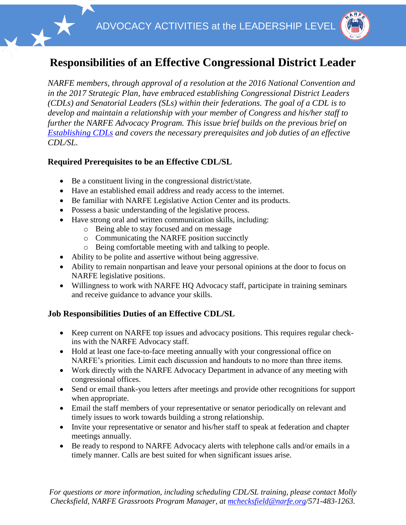

## **Responsibilities of an Effective Congressional District Leader**

*NARFE members, through approval of a resolution at the 2016 National Convention and in the 2017 Strategic Plan, have embraced establishing Congressional District Leaders (CDLs) and Senatorial Leaders (SLs) within their federations. The goal of a CDL is to develop and maintain a relationship with your member of Congress and his/her staff to further the NARFE Advocacy Program. This issue brief builds on the previous brief on [Establishing CDLs](https://www.narfe.org/pdf/Why_CDLs_for_NARFE.pdf) and covers the necessary prerequisites and job duties of an effective CDL/SL.*

## **Required Prerequisites to be an Effective CDL/SL**

- Be a constituent living in the congressional district/state.
- Have an established email address and ready access to the internet.
- Be familiar with NARFE Legislative Action Center and its products.
- Possess a basic understanding of the legislative process.
- Have strong oral and written communication skills, including:
	- o Being able to stay focused and on message
	- o Communicating the NARFE position succinctly
	- o Being comfortable meeting with and talking to people.
- Ability to be polite and assertive without being aggressive.
- Ability to remain nonpartisan and leave your personal opinions at the door to focus on NARFE legislative positions.
- Willingness to work with NARFE HQ Advocacy staff, participate in training seminars and receive guidance to advance your skills.

## **Job Responsibilities Duties of an Effective CDL/SL**

- Keep current on NARFE top issues and advocacy positions. This requires regular checkins with the NARFE Advocacy staff.
- Hold at least one face-to-face meeting annually with your congressional office on NARFE's priorities. Limit each discussion and handouts to no more than three items.
- Work directly with the NARFE Advocacy Department in advance of any meeting with congressional offices.
- Send or email thank-you letters after meetings and provide other recognitions for support when appropriate.
- Email the staff members of your representative or senator periodically on relevant and timely issues to work towards building a strong relationship.
- Invite your representative or senator and his/her staff to speak at federation and chapter meetings annually.
- Be ready to respond to NARFE Advocacy alerts with telephone calls and/or emails in a timely manner. Calls are best suited for when significant issues arise.

*For questions or more information, including scheduling CDL/SL training, please contact Molly Checksfield, NARFE Grassroots Program Manager, at [mchecksfield@narfe.org/](mailto:mchecksfield@narfe.org)571-483-1263.*